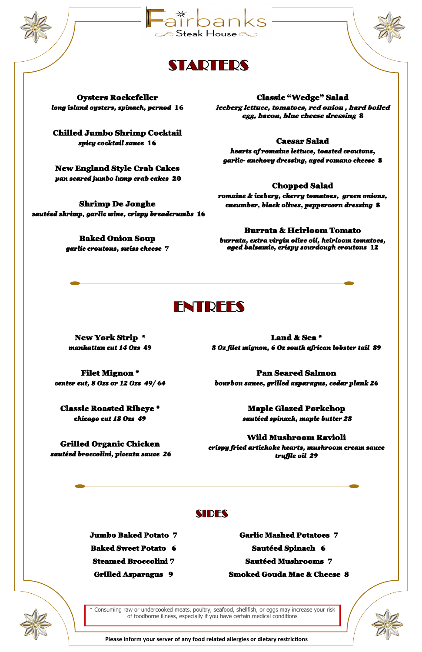Jumbo Baked Potato 7

Baked Sweet Potato 6

Steamed Broccolini 7

Grilled Asparagus 9

Garlic Mashed Potatoes 7

Sautéed Spinach 6

Sautéed Mushrooms 7

Smoked Gouda Mac & Cheese 8

New York Strip \* *manhattan cut 14 Ozs* 49

Filet Mignon \* *center cut, 8 Ozs or 12 Ozs 49/ 64* 

Classic Roasted Ribeye \* *chicago cut 18 Ozs 49* 

Grilled Organic Chicken  *sautéed broccolini, piccata sauce 26* 

Land & Sea \* *8 Oz filet mignon, 6 Oz south african lobster tail 89* 

Pan Seared Salmon

*bourbon sauce, grilled asparagus, cedar plank 26* 

Maple Glazed Porkchop  *sautéed spinach, maple butter 28* 

### Wild Mushroom Ravioli

*crispy fried artichoke hearts, mushroom cream sauce truffle oil 29* 







Oysters Rockefeller *long island oysters, spinach, pernod* 16

Chilled Jumbo Shrimp Cocktail *spicy cocktail sauce* 16

New England Style Crab Cakes  *pan seared jumbo lump crab cakes* 20

#### Shrimp De Jonghe *sautéed shrimp, garlic wine, crispy breadcrumbs* 16

Baked Onion Soup *garlic croutons, swiss cheese* 7



#### Classic "Wedge" Salad

iceberg lettuce, tomatoes, red onion , hard boiled egg, bacon, blue cheese dressing 8

#### Caesar Salad

*hearts of romaine lettuce, toasted croutons, garlic- anchovy dressing, aged romano cheese* 8

#### Chopped Salad

*romaine & iceberg, cherry tomatoes, green onions, cucumber, black olives, peppercorn dressing* 8

#### Burrata & Heirloom Tomato

*burrata, extra virgin olive oil, heirloom tomatoes, aged balsamic, crispy sourdough croutons* 12

# **ENTREES**

 **Please inform your server of any food related allergies or dietary restrictions** 



\* Consuming raw or undercooked meats, poultry, seafood, shellfish, or eggs may increase your risk of foodborne illness, especially if you have certain medical conditions